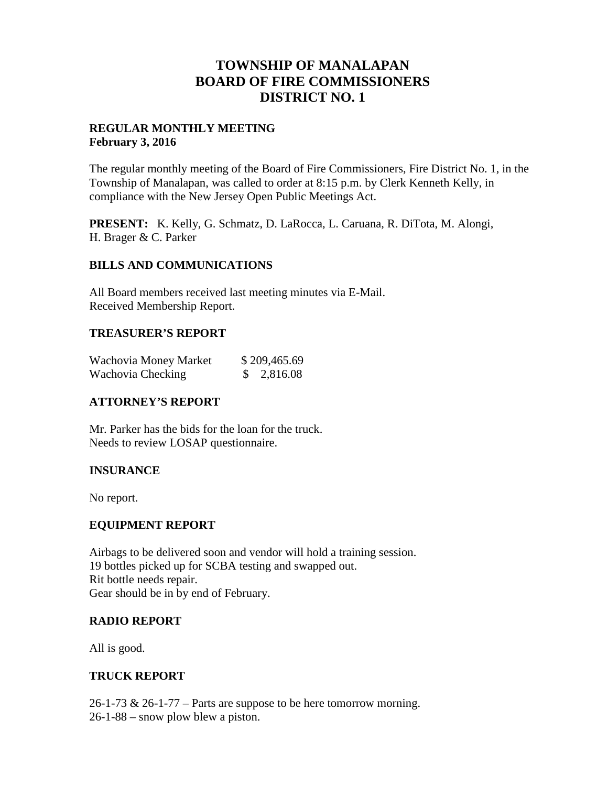## **TOWNSHIP OF MANALAPAN BOARD OF FIRE COMMISSIONERS DISTRICT NO. 1**

#### **REGULAR MONTHLY MEETING February 3, 2016**

The regular monthly meeting of the Board of Fire Commissioners, Fire District No. 1, in the Township of Manalapan, was called to order at 8:15 p.m. by Clerk Kenneth Kelly, in compliance with the New Jersey Open Public Meetings Act.

**PRESENT:** K. Kelly, G. Schmatz, D. LaRocca, L. Caruana, R. DiTota, M. Alongi, H. Brager & C. Parker

#### **BILLS AND COMMUNICATIONS**

All Board members received last meeting minutes via E-Mail. Received Membership Report.

#### **TREASURER'S REPORT**

| Wachovia Money Market | \$209,465.69 |
|-----------------------|--------------|
| Wachovia Checking     | \$2,816.08   |

## **ATTORNEY'S REPORT**

Mr. Parker has the bids for the loan for the truck. Needs to review LOSAP questionnaire.

## **INSURANCE**

No report.

#### **EQUIPMENT REPORT**

Airbags to be delivered soon and vendor will hold a training session. 19 bottles picked up for SCBA testing and swapped out. Rit bottle needs repair. Gear should be in by end of February.

## **RADIO REPORT**

All is good.

#### **TRUCK REPORT**

26-1-73 & 26-1-77 – Parts are suppose to be here tomorrow morning. 26-1-88 – snow plow blew a piston.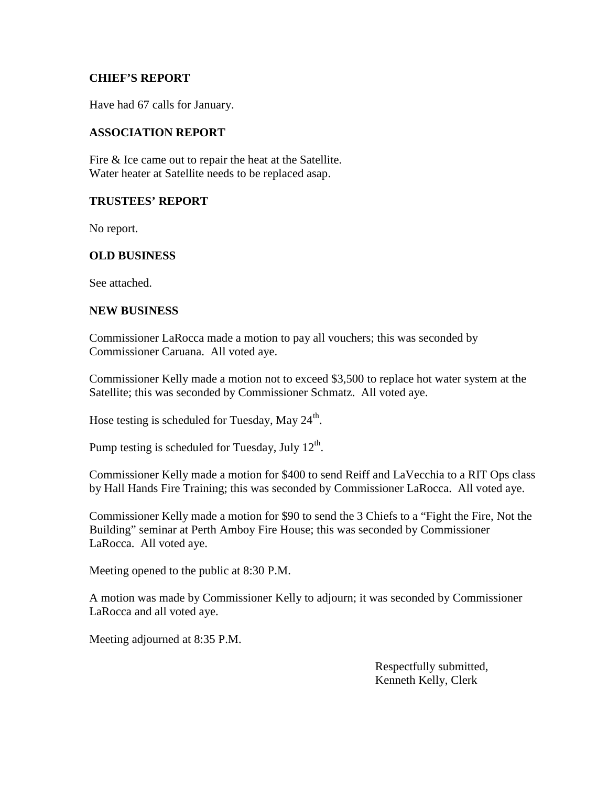#### **CHIEF'S REPORT**

Have had 67 calls for January.

#### **ASSOCIATION REPORT**

Fire & Ice came out to repair the heat at the Satellite. Water heater at Satellite needs to be replaced asap.

#### **TRUSTEES' REPORT**

No report.

#### **OLD BUSINESS**

See attached.

#### **NEW BUSINESS**

Commissioner LaRocca made a motion to pay all vouchers; this was seconded by Commissioner Caruana. All voted aye.

Commissioner Kelly made a motion not to exceed \$3,500 to replace hot water system at the Satellite; this was seconded by Commissioner Schmatz. All voted aye.

Hose testing is scheduled for Tuesday, May 24<sup>th</sup>.

Pump testing is scheduled for Tuesday, July  $12^{\text{th}}$ .

Commissioner Kelly made a motion for \$400 to send Reiff and LaVecchia to a RIT Ops class by Hall Hands Fire Training; this was seconded by Commissioner LaRocca. All voted aye.

Commissioner Kelly made a motion for \$90 to send the 3 Chiefs to a "Fight the Fire, Not the Building" seminar at Perth Amboy Fire House; this was seconded by Commissioner LaRocca. All voted aye.

Meeting opened to the public at 8:30 P.M.

A motion was made by Commissioner Kelly to adjourn; it was seconded by Commissioner LaRocca and all voted aye.

Meeting adjourned at 8:35 P.M.

Respectfully submitted, Kenneth Kelly, Clerk